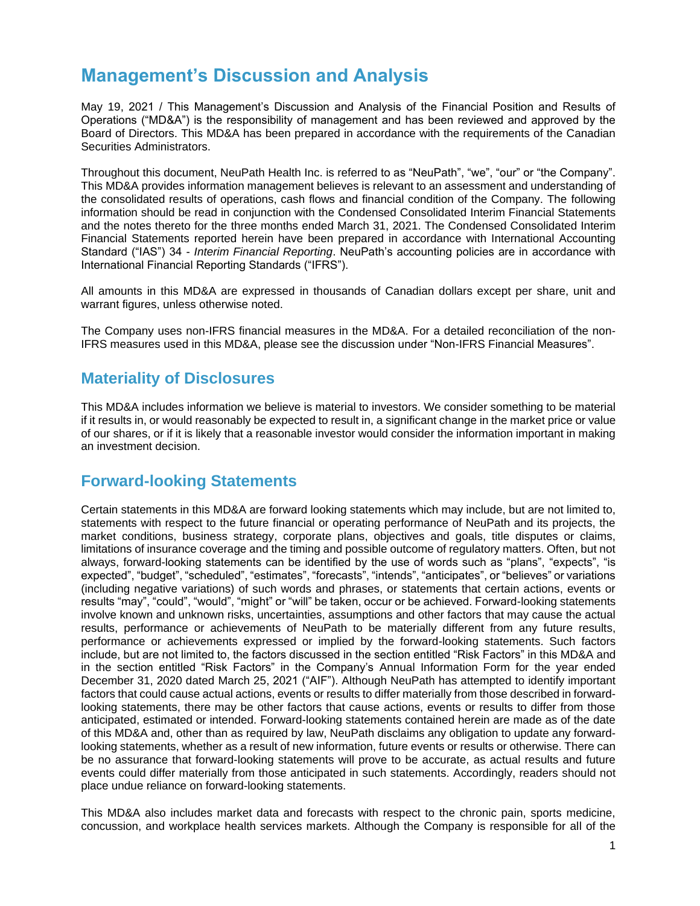# **Management's Discussion and Analysis**

May 19, 2021 / This Management's Discussion and Analysis of the Financial Position and Results of Operations ("MD&A") is the responsibility of management and has been reviewed and approved by the Board of Directors. This MD&A has been prepared in accordance with the requirements of the Canadian Securities Administrators.

Throughout this document, NeuPath Health Inc. is referred to as "NeuPath", "we", "our" or "the Company". This MD&A provides information management believes is relevant to an assessment and understanding of the consolidated results of operations, cash flows and financial condition of the Company. The following information should be read in conjunction with the Condensed Consolidated Interim Financial Statements and the notes thereto for the three months ended March 31, 2021. The Condensed Consolidated Interim Financial Statements reported herein have been prepared in accordance with International Accounting Standard ("IAS") 34 - *Interim Financial Reporting*. NeuPath's accounting policies are in accordance with International Financial Reporting Standards ("IFRS").

All amounts in this MD&A are expressed in thousands of Canadian dollars except per share, unit and warrant figures, unless otherwise noted.

The Company uses non-IFRS financial measures in the MD&A. For a detailed reconciliation of the non-IFRS measures used in this MD&A, please see the discussion under "Non-IFRS Financial Measures".

# **Materiality of Disclosures**

This MD&A includes information we believe is material to investors. We consider something to be material if it results in, or would reasonably be expected to result in, a significant change in the market price or value of our shares, or if it is likely that a reasonable investor would consider the information important in making an investment decision.

# **Forward-looking Statements**

Certain statements in this MD&A are forward looking statements which may include, but are not limited to, statements with respect to the future financial or operating performance of NeuPath and its projects, the market conditions, business strategy, corporate plans, objectives and goals, title disputes or claims, limitations of insurance coverage and the timing and possible outcome of regulatory matters. Often, but not always, forward-looking statements can be identified by the use of words such as "plans", "expects", "is expected", "budget", "scheduled", "estimates", "forecasts", "intends", "anticipates", or "believes" or variations (including negative variations) of such words and phrases, or statements that certain actions, events or results "may", "could", "would", "might" or "will" be taken, occur or be achieved. Forward-looking statements involve known and unknown risks, uncertainties, assumptions and other factors that may cause the actual results, performance or achievements of NeuPath to be materially different from any future results, performance or achievements expressed or implied by the forward-looking statements. Such factors include, but are not limited to, the factors discussed in the section entitled "Risk Factors" in this MD&A and in the section entitled "Risk Factors" in the Company's Annual Information Form for the year ended December 31, 2020 dated March 25, 2021 ("AIF"). Although NeuPath has attempted to identify important factors that could cause actual actions, events or results to differ materially from those described in forwardlooking statements, there may be other factors that cause actions, events or results to differ from those anticipated, estimated or intended. Forward-looking statements contained herein are made as of the date of this MD&A and, other than as required by law, NeuPath disclaims any obligation to update any forwardlooking statements, whether as a result of new information, future events or results or otherwise. There can be no assurance that forward-looking statements will prove to be accurate, as actual results and future events could differ materially from those anticipated in such statements. Accordingly, readers should not place undue reliance on forward-looking statements.

This MD&A also includes market data and forecasts with respect to the chronic pain, sports medicine, concussion, and workplace health services markets. Although the Company is responsible for all of the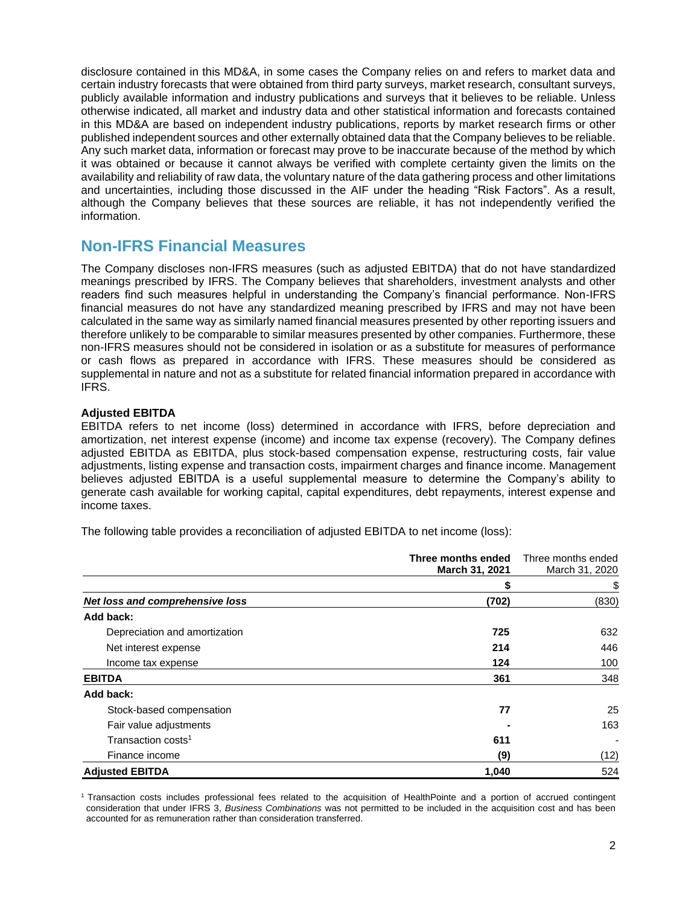disclosure contained in this MD&A, in some cases the Company relies on and refers to market data and certain industry forecasts that were obtained from third party surveys, market research, consultant surveys, publicly available information and industry publications and surveys that it believes to be reliable. Unless otherwise indicated, all market and industry data and other statistical information and forecasts contained in this MD&A are based on independent industry publications, reports by market research firms or other published independent sources and other externally obtained data that the Company believes to be reliable. Any such market data, information or forecast may prove to be inaccurate because of the method by which it was obtained or because it cannot always be verified with complete certainty given the limits on the availability and reliability of raw data, the voluntary nature of the data gathering process and other limitations and uncertainties, including those discussed in the AIF under the heading "Risk Factors". As a result, although the Company believes that these sources are reliable, it has not independently verified the information.

## **Non-IFRS Financial Measures**

The Company discloses non-IFRS measures (such as adjusted EBITDA) that do not have standardized meanings prescribed by IFRS. The Company believes that shareholders, investment analysts and other readers find such measures helpful in understanding the Company's financial performance. Non-IFRS financial measures do not have any standardized meaning prescribed by IFRS and may not have been calculated in the same way as similarly named financial measures presented by other reporting issuers and therefore unlikely to be comparable to similar measures presented by other companies. Furthermore, these non-IFRS measures should not be considered in isolation or as a substitute for measures of performance or cash flows as prepared in accordance with IFRS. These measures should be considered as supplemental in nature and not as a substitute for related financial information prepared in accordance with IFRS.

## **Adjusted EBITDA**

EBITDA refers to net income (loss) determined in accordance with IFRS, before depreciation and amortization, net interest expense (income) and income tax expense (recovery). The Company defines adjusted EBITDA as EBITDA, plus stock-based compensation expense, restructuring costs, fair value adjustments, listing expense and transaction costs, impairment charges and finance income. Management believes adjusted EBITDA is a useful supplemental measure to determine the Company's ability to generate cash available for working capital, capital expenditures, debt repayments, interest expense and income taxes.

The following table provides a reconciliation of adjusted EBITDA to net income (loss):

|                                 | Three months ended<br>March 31, 2021 | Three months ended<br>March 31, 2020 |  |
|---------------------------------|--------------------------------------|--------------------------------------|--|
|                                 |                                      | \$                                   |  |
| Net loss and comprehensive loss | (702)                                | (830)                                |  |
| Add back:                       |                                      |                                      |  |
| Depreciation and amortization   | 725                                  | 632                                  |  |
| Net interest expense            | 214                                  | 446                                  |  |
| Income tax expense              | 124                                  | 100                                  |  |
| <b>EBITDA</b>                   | 361                                  | 348                                  |  |
| Add back:                       |                                      |                                      |  |
| Stock-based compensation        | 77                                   | 25                                   |  |
| Fair value adjustments          |                                      | 163                                  |  |
| Transaction costs <sup>1</sup>  | 611                                  |                                      |  |
| Finance income                  | (9)                                  | (12)                                 |  |
| <b>Adjusted EBITDA</b>          | 1,040                                | 524                                  |  |

<sup>1</sup>Transaction costs includes professional fees related to the acquisition of HealthPointe and a portion of accrued contingent consideration that under IFRS 3, *Business Combinations* was not permitted to be included in the acquisition cost and has been accounted for as remuneration rather than consideration transferred.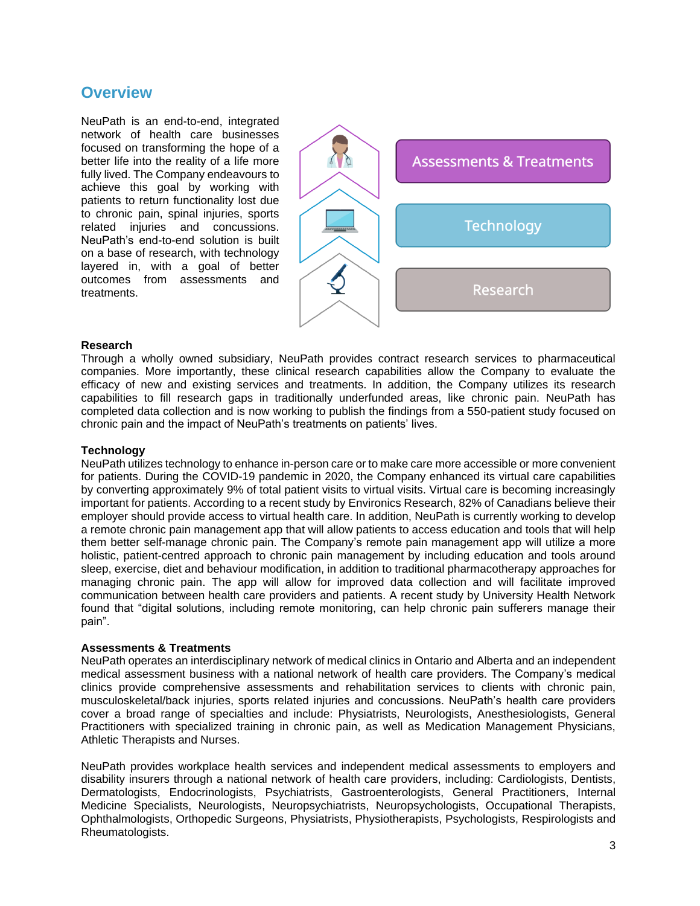## **Overview**

NeuPath is an end-to-end, integrated network of health care businesses focused on transforming the hope of a better life into the reality of a life more fully lived. The Company endeavours to achieve this goal by working with patients to return functionality lost due to chronic pain, spinal injuries, sports related injuries and concussions. NeuPath's end-to-end solution is built on a base of research, with technology layered in, with a goal of better outcomes from assessments and treatments.



#### **Research**

Through a wholly owned subsidiary, NeuPath provides contract research services to pharmaceutical companies. More importantly, these clinical research capabilities allow the Company to evaluate the efficacy of new and existing services and treatments. In addition, the Company utilizes its research capabilities to fill research gaps in traditionally underfunded areas, like chronic pain. NeuPath has completed data collection and is now working to publish the findings from a 550-patient study focused on chronic pain and the impact of NeuPath's treatments on patients' lives.

#### **Technology**

NeuPath utilizes technology to enhance in-person care or to make care more accessible or more convenient for patients. During the COVID-19 pandemic in 2020, the Company enhanced its virtual care capabilities by converting approximately 9% of total patient visits to virtual visits. Virtual care is becoming increasingly important for patients. According to a recent study by Environics Research, 82% of Canadians believe their employer should provide access to virtual health care. In addition, NeuPath is currently working to develop a remote chronic pain management app that will allow patients to access education and tools that will help them better self-manage chronic pain. The Company's remote pain management app will utilize a more holistic, patient-centred approach to chronic pain management by including education and tools around sleep, exercise, diet and behaviour modification, in addition to traditional pharmacotherapy approaches for managing chronic pain. The app will allow for improved data collection and will facilitate improved communication between health care providers and patients. A recent study by University Health Network found that "digital solutions, including remote monitoring, can help chronic pain sufferers manage their pain".

## **Assessments & Treatments**

NeuPath operates an interdisciplinary network of medical clinics in Ontario and Alberta and an independent medical assessment business with a national network of health care providers. The Company's medical clinics provide comprehensive assessments and rehabilitation services to clients with chronic pain, musculoskeletal/back injuries, sports related injuries and concussions. NeuPath's health care providers cover a broad range of specialties and include: Physiatrists, Neurologists, Anesthesiologists, General Practitioners with specialized training in chronic pain, as well as Medication Management Physicians, Athletic Therapists and Nurses.

NeuPath provides workplace health services and independent medical assessments to employers and disability insurers through a national network of health care providers, including: Cardiologists, Dentists, Dermatologists, Endocrinologists, Psychiatrists, Gastroenterologists, General Practitioners, Internal Medicine Specialists, Neurologists, Neuropsychiatrists, Neuropsychologists, Occupational Therapists, Ophthalmologists, Orthopedic Surgeons, Physiatrists, Physiotherapists, Psychologists, Respirologists and Rheumatologists.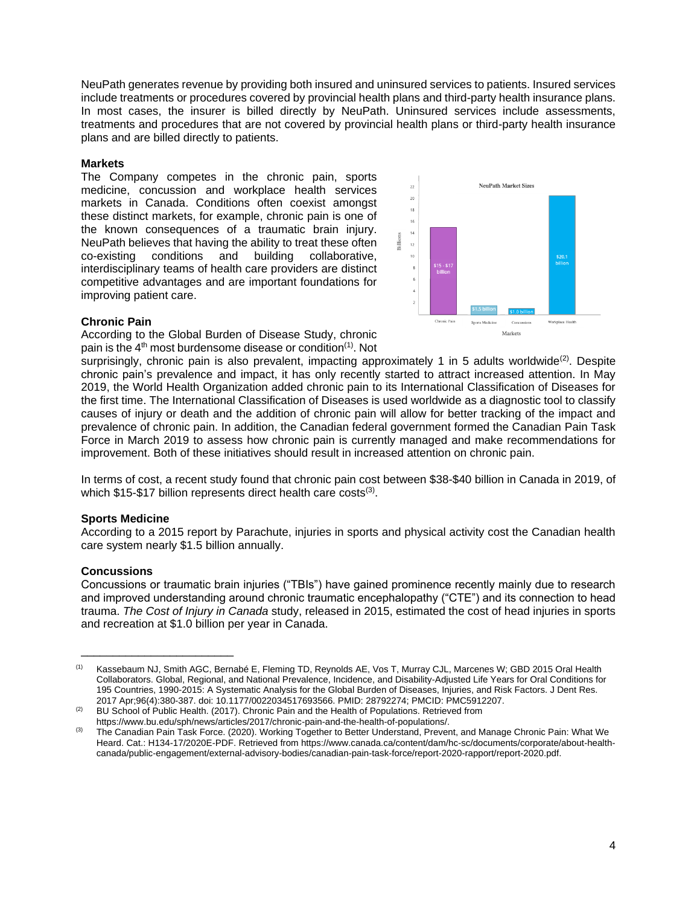NeuPath generates revenue by providing both insured and uninsured services to patients. Insured services include treatments or procedures covered by provincial health plans and third-party health insurance plans. In most cases, the insurer is billed directly by NeuPath. Uninsured services include assessments, treatments and procedures that are not covered by provincial health plans or third-party health insurance plans and are billed directly to patients.

## **Markets**

The Company competes in the chronic pain, sports medicine, concussion and workplace health services markets in Canada. Conditions often coexist amongst these distinct markets, for example, chronic pain is one of the known consequences of a traumatic brain injury. NeuPath believes that having the ability to treat these often co-existing conditions and building collaborative, interdisciplinary teams of health care providers are distinct competitive advantages and are important foundations for improving patient care.



## **Chronic Pain**

According to the Global Burden of Disease Study, chronic pain is the  $4<sup>th</sup>$  most burdensome disease or condition<sup>(1)</sup>. Not

surprisingly, chronic pain is also prevalent, impacting approximately 1 in 5 adults worldwide<sup>(2)</sup>. Despite chronic pain's prevalence and impact, it has only recently started to attract increased attention. In May 2019, the World Health Organization added chronic pain to its International Classification of Diseases for the first time. The International Classification of Diseases is used worldwide as a diagnostic tool to classify causes of injury or death and the addition of chronic pain will allow for better tracking of the impact and prevalence of chronic pain. In addition, the Canadian federal government formed the Canadian Pain Task Force in March 2019 to assess how chronic pain is currently managed and make recommendations for improvement. Both of these initiatives should result in increased attention on chronic pain.

In terms of cost, a recent study found that chronic pain cost between \$38-\$40 billion in Canada in 2019, of which \$15-\$17 billion represents direct health care costs<sup>(3)</sup>.

## **Sports Medicine**

According to a 2015 report by Parachute, injuries in sports and physical activity cost the Canadian health care system nearly \$1.5 billion annually.

## **Concussions**

\_\_\_\_\_\_\_\_\_\_\_\_\_\_\_\_\_\_\_\_\_\_\_\_

Concussions or traumatic brain injuries ("TBIs") have gained prominence recently mainly due to research and improved understanding around chronic traumatic encephalopathy ("CTE") and its connection to head trauma. *The Cost of Injury in Canada* study, released in 2015, estimated the cost of head injuries in sports and recreation at \$1.0 billion per year in Canada.

<sup>(1)</sup> Kassebaum NJ, Smith AGC, Bernabé E, Fleming TD, Reynolds AE, Vos T, Murray CJL, Marcenes W; GBD 2015 Oral Health Collaborators. Global, Regional, and National Prevalence, Incidence, and Disability-Adjusted Life Years for Oral Conditions for 195 Countries, 1990-2015: A Systematic Analysis for the Global Burden of Diseases, Injuries, and Risk Factors. J Dent Res. 2017 Apr;96(4):380-387. doi: 10.1177/0022034517693566. PMID: 28792274; PMCID: PMC5912207.

<sup>&</sup>lt;sup>(2)</sup> BU School of Public Health. (2017). Chronic Pain and the Health of Populations. Retrieved from https://www.bu.edu/sph/news/articles/2017/chronic-pain-and-the-health-of-populations/.

<sup>&</sup>lt;sup>(3)</sup> The Canadian Pain Task Force. (2020). Working Together to Better Understand, Prevent, and Manage Chronic Pain: What We Heard. Cat.: H134-17/2020E-PDF. Retrieved from https://www.canada.ca/content/dam/hc-sc/documents/corporate/about-healthcanada/public-engagement/external-advisory-bodies/canadian-pain-task-force/report-2020-rapport/report-2020.pdf.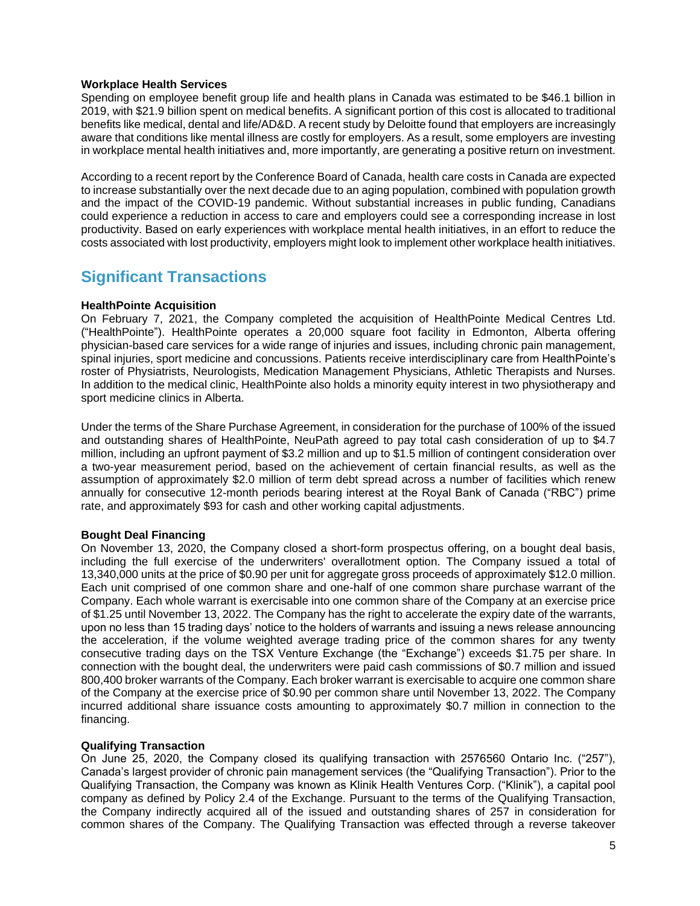## **Workplace Health Services**

Spending on employee benefit group life and health plans in Canada was estimated to be \$46.1 billion in 2019, with \$21.9 billion spent on medical benefits. A significant portion of this cost is allocated to traditional benefits like medical, dental and life/AD&D. A recent study by Deloitte found that employers are increasingly aware that conditions like mental illness are costly for employers. As a result, some employers are investing in workplace mental health initiatives and, more importantly, are generating a positive return on investment.

According to a recent report by the Conference Board of Canada, health care costs in Canada are expected to increase substantially over the next decade due to an aging population, combined with population growth and the impact of the COVID-19 pandemic. Without substantial increases in public funding, Canadians could experience a reduction in access to care and employers could see a corresponding increase in lost productivity. Based on early experiences with workplace mental health initiatives, in an effort to reduce the costs associated with lost productivity, employers might look to implement other workplace health initiatives.

# **Significant Transactions**

## **HealthPointe Acquisition**

On February 7, 2021, the Company completed the acquisition of HealthPointe Medical Centres Ltd. ("HealthPointe"). HealthPointe operates a 20,000 square foot facility in Edmonton, Alberta offering physician-based care services for a wide range of injuries and issues, including chronic pain management, spinal injuries, sport medicine and concussions. Patients receive interdisciplinary care from HealthPointe's roster of Physiatrists, Neurologists, Medication Management Physicians, Athletic Therapists and Nurses. In addition to the medical clinic, HealthPointe also holds a minority equity interest in two physiotherapy and sport medicine clinics in Alberta.

Under the terms of the Share Purchase Agreement, in consideration for the purchase of 100% of the issued and outstanding shares of HealthPointe, NeuPath agreed to pay total cash consideration of up to \$4.7 million, including an upfront payment of \$3.2 million and up to \$1.5 million of contingent consideration over a two-year measurement period, based on the achievement of certain financial results, as well as the assumption of approximately \$2.0 million of term debt spread across a number of facilities which renew annually for consecutive 12-month periods bearing interest at the Royal Bank of Canada ("RBC") prime rate, and approximately \$93 for cash and other working capital adjustments.

## **Bought Deal Financing**

On November 13, 2020, the Company closed a short-form prospectus offering, on a bought deal basis, including the full exercise of the underwriters' overallotment option. The Company issued a total of 13,340,000 units at the price of \$0.90 per unit for aggregate gross proceeds of approximately \$12.0 million. Each unit comprised of one common share and one-half of one common share purchase warrant of the Company. Each whole warrant is exercisable into one common share of the Company at an exercise price of \$1.25 until November 13, 2022. The Company has the right to accelerate the expiry date of the warrants, upon no less than 15 trading days' notice to the holders of warrants and issuing a news release announcing the acceleration, if the volume weighted average trading price of the common shares for any twenty consecutive trading days on the TSX Venture Exchange (the "Exchange") exceeds \$1.75 per share. In connection with the bought deal, the underwriters were paid cash commissions of \$0.7 million and issued 800,400 broker warrants of the Company. Each broker warrant is exercisable to acquire one common share of the Company at the exercise price of \$0.90 per common share until November 13, 2022. The Company incurred additional share issuance costs amounting to approximately \$0.7 million in connection to the financing.

## **Qualifying Transaction**

On June 25, 2020, the Company closed its qualifying transaction with 2576560 Ontario Inc. ("257"), Canada's largest provider of chronic pain management services (the "Qualifying Transaction"). Prior to the Qualifying Transaction, the Company was known as Klinik Health Ventures Corp. ("Klinik"), a capital pool company as defined by Policy 2.4 of the Exchange. Pursuant to the terms of the Qualifying Transaction, the Company indirectly acquired all of the issued and outstanding shares of 257 in consideration for common shares of the Company. The Qualifying Transaction was effected through a reverse takeover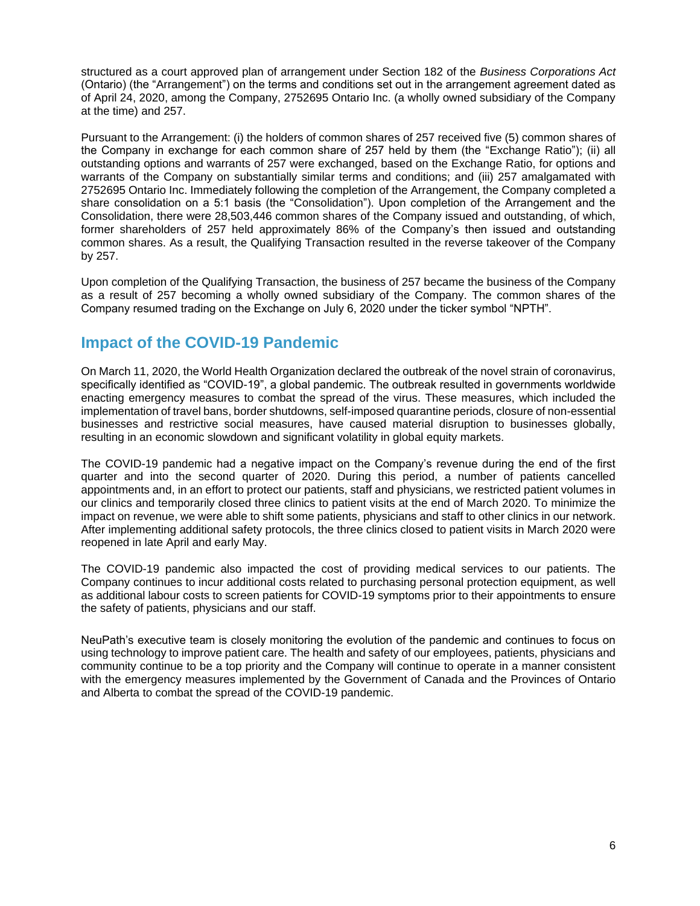structured as a court approved plan of arrangement under Section 182 of the *Business Corporations Act* (Ontario) (the "Arrangement") on the terms and conditions set out in the arrangement agreement dated as of April 24, 2020, among the Company, 2752695 Ontario Inc. (a wholly owned subsidiary of the Company at the time) and 257.

Pursuant to the Arrangement: (i) the holders of common shares of 257 received five (5) common shares of the Company in exchange for each common share of 257 held by them (the "Exchange Ratio"); (ii) all outstanding options and warrants of 257 were exchanged, based on the Exchange Ratio, for options and warrants of the Company on substantially similar terms and conditions; and (iii) 257 amalgamated with 2752695 Ontario Inc. Immediately following the completion of the Arrangement, the Company completed a share consolidation on a 5:1 basis (the "Consolidation"). Upon completion of the Arrangement and the Consolidation, there were 28,503,446 common shares of the Company issued and outstanding, of which, former shareholders of 257 held approximately 86% of the Company's then issued and outstanding common shares. As a result, the Qualifying Transaction resulted in the reverse takeover of the Company by 257.

Upon completion of the Qualifying Transaction, the business of 257 became the business of the Company as a result of 257 becoming a wholly owned subsidiary of the Company. The common shares of the Company resumed trading on the Exchange on July 6, 2020 under the ticker symbol "NPTH".

## **Impact of the COVID-19 Pandemic**

On March 11, 2020, the World Health Organization declared the outbreak of the novel strain of coronavirus, specifically identified as "COVID-19", a global pandemic. The outbreak resulted in governments worldwide enacting emergency measures to combat the spread of the virus. These measures, which included the implementation of travel bans, border shutdowns, self-imposed quarantine periods, closure of non-essential businesses and restrictive social measures, have caused material disruption to businesses globally, resulting in an economic slowdown and significant volatility in global equity markets.

The COVID-19 pandemic had a negative impact on the Company's revenue during the end of the first quarter and into the second quarter of 2020. During this period, a number of patients cancelled appointments and, in an effort to protect our patients, staff and physicians, we restricted patient volumes in our clinics and temporarily closed three clinics to patient visits at the end of March 2020. To minimize the impact on revenue, we were able to shift some patients, physicians and staff to other clinics in our network. After implementing additional safety protocols, the three clinics closed to patient visits in March 2020 were reopened in late April and early May.

The COVID-19 pandemic also impacted the cost of providing medical services to our patients. The Company continues to incur additional costs related to purchasing personal protection equipment, as well as additional labour costs to screen patients for COVID-19 symptoms prior to their appointments to ensure the safety of patients, physicians and our staff.

NeuPath's executive team is closely monitoring the evolution of the pandemic and continues to focus on using technology to improve patient care. The health and safety of our employees, patients, physicians and community continue to be a top priority and the Company will continue to operate in a manner consistent with the emergency measures implemented by the Government of Canada and the Provinces of Ontario and Alberta to combat the spread of the COVID-19 pandemic.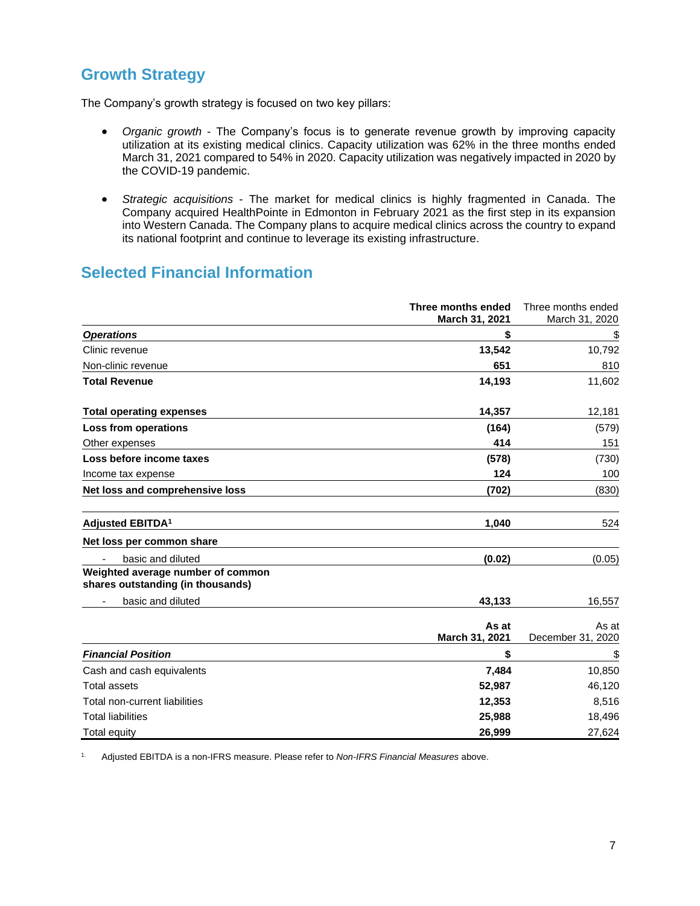# **Growth Strategy**

The Company's growth strategy is focused on two key pillars:

- *Organic growth* The Company's focus is to generate revenue growth by improving capacity utilization at its existing medical clinics. Capacity utilization was 62% in the three months ended March 31, 2021 compared to 54% in 2020. Capacity utilization was negatively impacted in 2020 by the COVID-19 pandemic.
- *Strategic acquisitions* The market for medical clinics is highly fragmented in Canada. The Company acquired HealthPointe in Edmonton in February 2021 as the first step in its expansion into Western Canada. The Company plans to acquire medical clinics across the country to expand its national footprint and continue to leverage its existing infrastructure.

# **Selected Financial Information**

|                                                                        | Three months ended<br>March 31, 2021 | Three months ended<br>March 31, 2020 |
|------------------------------------------------------------------------|--------------------------------------|--------------------------------------|
| <b>Operations</b>                                                      | \$                                   | <u>\$</u>                            |
| Clinic revenue                                                         | 13,542                               | 10,792                               |
| Non-clinic revenue                                                     | 651                                  | 810                                  |
| <b>Total Revenue</b>                                                   | 14,193                               | 11,602                               |
| <b>Total operating expenses</b>                                        | 14,357                               | 12,181                               |
| Loss from operations                                                   | (164)                                | (579)                                |
| Other expenses                                                         | 414                                  | 151                                  |
| Loss before income taxes                                               | (578)                                | (730)                                |
| Income tax expense                                                     | 124                                  | 100                                  |
| Net loss and comprehensive loss                                        | (702)                                | (830)                                |
| Adjusted EBITDA <sup>1</sup>                                           | 1,040                                | 524                                  |
| Net loss per common share                                              |                                      |                                      |
| basic and diluted                                                      | (0.02)                               | (0.05)                               |
| Weighted average number of common<br>shares outstanding (in thousands) |                                      |                                      |
| basic and diluted                                                      | 43,133                               | 16,557                               |
|                                                                        | As at<br>March 31, 2021              | As at<br>December 31, 2020           |
| <b>Financial Position</b>                                              | \$                                   | \$                                   |
| Cash and cash equivalents                                              | 7,484                                | 10,850                               |
| <b>Total assets</b>                                                    | 52,987                               | 46,120                               |
| Total non-current liabilities                                          | 12,353                               | 8,516                                |
| <b>Total liabilities</b>                                               | 25,988                               | 18,496                               |
| Total equity                                                           | 26,999                               | 27,624                               |

1. Adjusted EBITDA is a non-IFRS measure. Please refer to *Non-IFRS Financial Measures* above.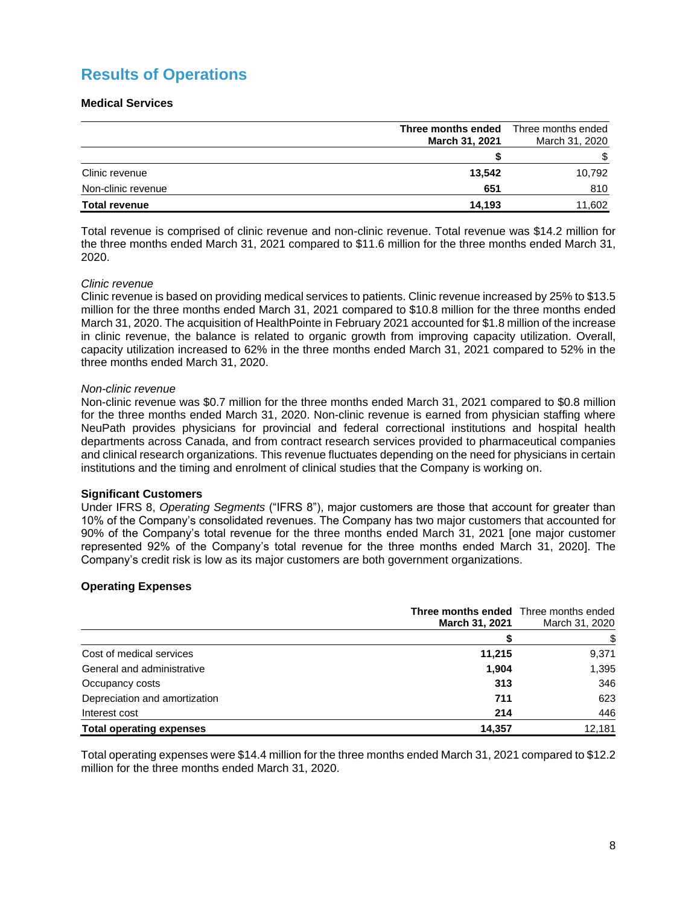# **Results of Operations**

## **Medical Services**

|                      | Three months ended<br>March 31, 2021 | Three months ended<br>March 31, 2020 |
|----------------------|--------------------------------------|--------------------------------------|
|                      |                                      | \$                                   |
| Clinic revenue       | 13.542                               | 10,792                               |
| Non-clinic revenue   | 651                                  | 810                                  |
| <b>Total revenue</b> | 14.193                               | 11,602                               |

Total revenue is comprised of clinic revenue and non-clinic revenue. Total revenue was \$14.2 million for the three months ended March 31, 2021 compared to \$11.6 million for the three months ended March 31, 2020.

## *Clinic revenue*

Clinic revenue is based on providing medical services to patients. Clinic revenue increased by 25% to \$13.5 million for the three months ended March 31, 2021 compared to \$10.8 million for the three months ended March 31, 2020. The acquisition of HealthPointe in February 2021 accounted for \$1.8 million of the increase in clinic revenue, the balance is related to organic growth from improving capacity utilization. Overall, capacity utilization increased to 62% in the three months ended March 31, 2021 compared to 52% in the three months ended March 31, 2020.

## *Non-clinic revenue*

Non-clinic revenue was \$0.7 million for the three months ended March 31, 2021 compared to \$0.8 million for the three months ended March 31, 2020. Non-clinic revenue is earned from physician staffing where NeuPath provides physicians for provincial and federal correctional institutions and hospital health departments across Canada, and from contract research services provided to pharmaceutical companies and clinical research organizations. This revenue fluctuates depending on the need for physicians in certain institutions and the timing and enrolment of clinical studies that the Company is working on.

## **Significant Customers**

Under IFRS 8, *Operating Segments* ("IFRS 8"), major customers are those that account for greater than 10% of the Company's consolidated revenues. The Company has two major customers that accounted for 90% of the Company's total revenue for the three months ended March 31, 2021 [one major customer represented 92% of the Company's total revenue for the three months ended March 31, 2020]. The Company's credit risk is low as its major customers are both government organizations.

## **Operating Expenses**

|                                 | <b>Three months ended</b> Three months ended<br><b>March 31, 2021</b> | March 31, 2020 |
|---------------------------------|-----------------------------------------------------------------------|----------------|
|                                 |                                                                       |                |
| Cost of medical services        | 11,215                                                                | 9,371          |
| General and administrative      | 1.904                                                                 | 1,395          |
| Occupancy costs                 | 313                                                                   | 346            |
| Depreciation and amortization   | 711                                                                   | 623            |
| Interest cost                   | 214                                                                   | 446            |
| <b>Total operating expenses</b> | 14.357                                                                | 12,181         |

Total operating expenses were \$14.4 million for the three months ended March 31, 2021 compared to \$12.2 million for the three months ended March 31, 2020.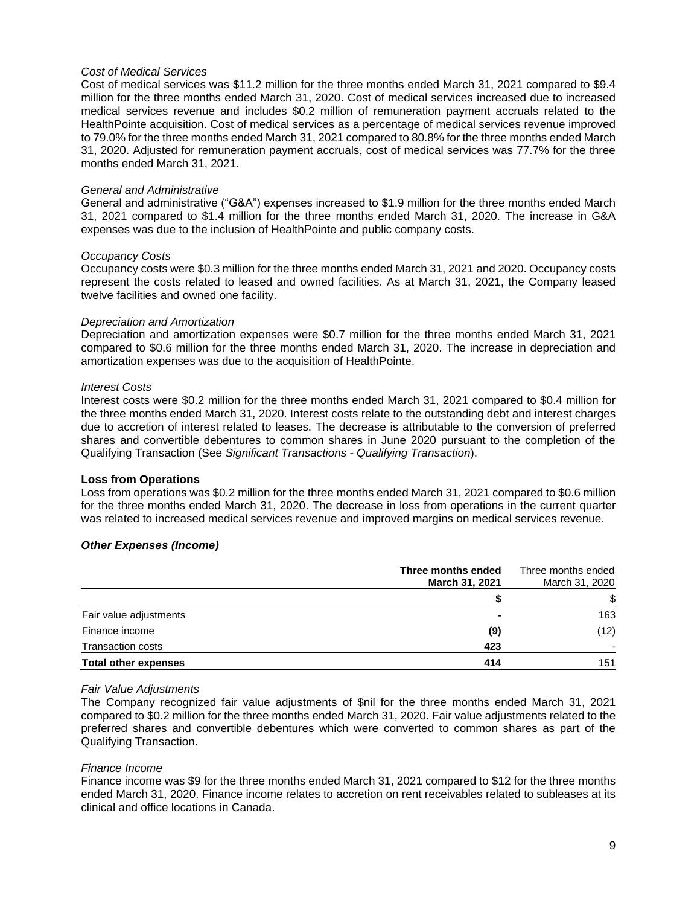#### *Cost of Medical Services*

Cost of medical services was \$11.2 million for the three months ended March 31, 2021 compared to \$9.4 million for the three months ended March 31, 2020. Cost of medical services increased due to increased medical services revenue and includes \$0.2 million of remuneration payment accruals related to the HealthPointe acquisition. Cost of medical services as a percentage of medical services revenue improved to 79.0% for the three months ended March 31, 2021 compared to 80.8% for the three months ended March 31, 2020. Adjusted for remuneration payment accruals, cost of medical services was 77.7% for the three months ended March 31, 2021.

#### *General and Administrative*

General and administrative ("G&A") expenses increased to \$1.9 million for the three months ended March 31, 2021 compared to \$1.4 million for the three months ended March 31, 2020. The increase in G&A expenses was due to the inclusion of HealthPointe and public company costs.

#### *Occupancy Costs*

Occupancy costs were \$0.3 million for the three months ended March 31, 2021 and 2020. Occupancy costs represent the costs related to leased and owned facilities. As at March 31, 2021, the Company leased twelve facilities and owned one facility.

#### *Depreciation and Amortization*

Depreciation and amortization expenses were \$0.7 million for the three months ended March 31, 2021 compared to \$0.6 million for the three months ended March 31, 2020. The increase in depreciation and amortization expenses was due to the acquisition of HealthPointe.

#### *Interest Costs*

Interest costs were \$0.2 million for the three months ended March 31, 2021 compared to \$0.4 million for the three months ended March 31, 2020. Interest costs relate to the outstanding debt and interest charges due to accretion of interest related to leases. The decrease is attributable to the conversion of preferred shares and convertible debentures to common shares in June 2020 pursuant to the completion of the Qualifying Transaction (See *Significant Transactions - Qualifying Transaction*).

## **Loss from Operations**

Loss from operations was \$0.2 million for the three months ended March 31, 2021 compared to \$0.6 million for the three months ended March 31, 2020. The decrease in loss from operations in the current quarter was related to increased medical services revenue and improved margins on medical services revenue.

## *Other Expenses (Income)*

|                             | Three months ended<br>March 31, 2021 | Three months ended<br>March 31, 2020 |
|-----------------------------|--------------------------------------|--------------------------------------|
|                             |                                      | \$                                   |
| Fair value adjustments      |                                      | 163                                  |
| Finance income              | (9)                                  | (12)                                 |
| <b>Transaction costs</b>    | 423                                  |                                      |
| <b>Total other expenses</b> | 414                                  | 151                                  |

#### *Fair Value Adjustments*

The Company recognized fair value adjustments of \$nil for the three months ended March 31, 2021 compared to \$0.2 million for the three months ended March 31, 2020. Fair value adjustments related to the preferred shares and convertible debentures which were converted to common shares as part of the Qualifying Transaction.

#### *Finance Income*

Finance income was \$9 for the three months ended March 31, 2021 compared to \$12 for the three months ended March 31, 2020. Finance income relates to accretion on rent receivables related to subleases at its clinical and office locations in Canada.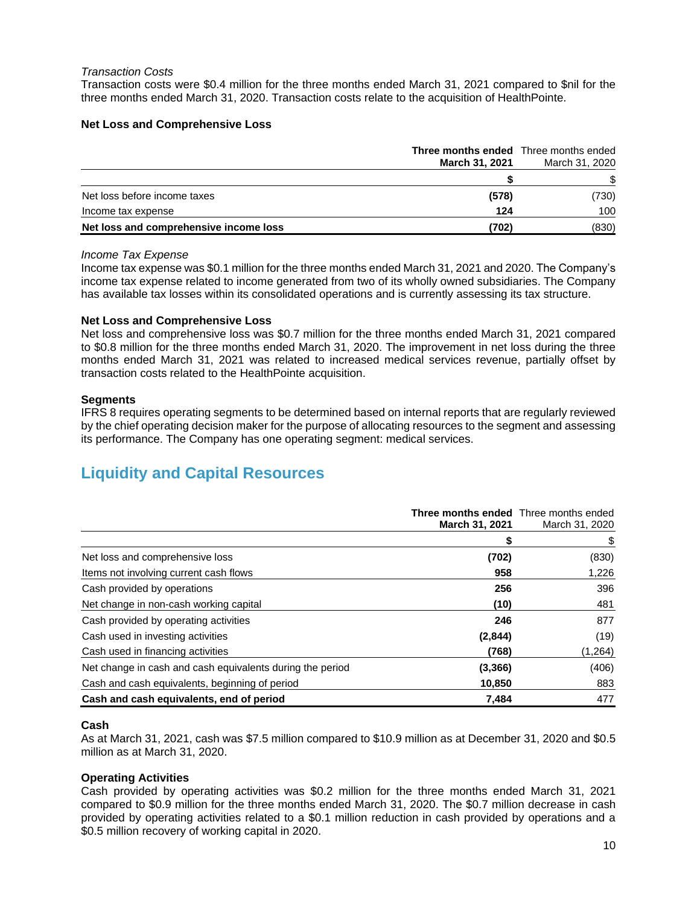#### *Transaction Costs*

Transaction costs were \$0.4 million for the three months ended March 31, 2021 compared to \$nil for the three months ended March 31, 2020. Transaction costs relate to the acquisition of HealthPointe.

## **Net Loss and Comprehensive Loss**

|                                        | <b>Three months ended</b> Three months ended<br><b>March 31, 2021</b> | March 31, 2020 |  |
|----------------------------------------|-----------------------------------------------------------------------|----------------|--|
|                                        |                                                                       |                |  |
| Net loss before income taxes           | (578)                                                                 | (730)          |  |
| Income tax expense                     | 124                                                                   | 100            |  |
| Net loss and comprehensive income loss | (702)                                                                 | (830)          |  |

#### *Income Tax Expense*

Income tax expense was \$0.1 million for the three months ended March 31, 2021 and 2020. The Company's income tax expense related to income generated from two of its wholly owned subsidiaries. The Company has available tax losses within its consolidated operations and is currently assessing its tax structure.

#### **Net Loss and Comprehensive Loss**

Net loss and comprehensive loss was \$0.7 million for the three months ended March 31, 2021 compared to \$0.8 million for the three months ended March 31, 2020. The improvement in net loss during the three months ended March 31, 2021 was related to increased medical services revenue, partially offset by transaction costs related to the HealthPointe acquisition.

#### **Segments**

IFRS 8 requires operating segments to be determined based on internal reports that are regularly reviewed by the chief operating decision maker for the purpose of allocating resources to the segment and assessing its performance. The Company has one operating segment: medical services.

# **Liquidity and Capital Resources**

|                                                           | Three months ended Three months ended |                |  |
|-----------------------------------------------------------|---------------------------------------|----------------|--|
|                                                           | <b>March 31, 2021</b>                 | March 31, 2020 |  |
|                                                           |                                       | \$             |  |
| Net loss and comprehensive loss                           | (702)                                 | (830)          |  |
| Items not involving current cash flows                    | 958                                   | 1,226          |  |
| Cash provided by operations                               | 256                                   | 396            |  |
| Net change in non-cash working capital                    | (10)                                  | 481            |  |
| Cash provided by operating activities                     | 246                                   | 877            |  |
| Cash used in investing activities                         | (2,844)                               | (19)           |  |
| Cash used in financing activities                         | (768)                                 | (1,264)        |  |
| Net change in cash and cash equivalents during the period | (3,366)                               | (406)          |  |
| Cash and cash equivalents, beginning of period            | 10,850                                | 883            |  |
| Cash and cash equivalents, end of period                  | 7,484                                 | 477            |  |

## **Cash**

As at March 31, 2021, cash was \$7.5 million compared to \$10.9 million as at December 31, 2020 and \$0.5 million as at March 31, 2020.

## **Operating Activities**

Cash provided by operating activities was \$0.2 million for the three months ended March 31, 2021 compared to \$0.9 million for the three months ended March 31, 2020. The \$0.7 million decrease in cash provided by operating activities related to a \$0.1 million reduction in cash provided by operations and a \$0.5 million recovery of working capital in 2020.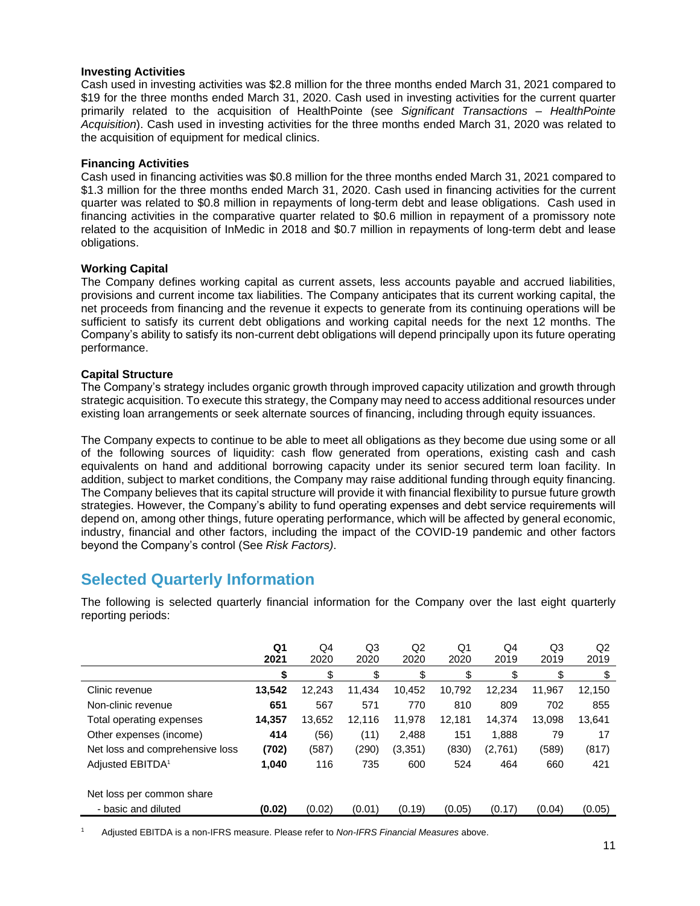## **Investing Activities**

Cash used in investing activities was \$2.8 million for the three months ended March 31, 2021 compared to \$19 for the three months ended March 31, 2020. Cash used in investing activities for the current quarter primarily related to the acquisition of HealthPointe (see *Significant Transactions – HealthPointe Acquisition*). Cash used in investing activities for the three months ended March 31, 2020 was related to the acquisition of equipment for medical clinics.

## **Financing Activities**

Cash used in financing activities was \$0.8 million for the three months ended March 31, 2021 compared to \$1.3 million for the three months ended March 31, 2020. Cash used in financing activities for the current quarter was related to \$0.8 million in repayments of long-term debt and lease obligations. Cash used in financing activities in the comparative quarter related to \$0.6 million in repayment of a promissory note related to the acquisition of InMedic in 2018 and \$0.7 million in repayments of long-term debt and lease obligations.

## **Working Capital**

The Company defines working capital as current assets, less accounts payable and accrued liabilities, provisions and current income tax liabilities. The Company anticipates that its current working capital, the net proceeds from financing and the revenue it expects to generate from its continuing operations will be sufficient to satisfy its current debt obligations and working capital needs for the next 12 months. The Company's ability to satisfy its non-current debt obligations will depend principally upon its future operating performance.

## **Capital Structure**

The Company's strategy includes organic growth through improved capacity utilization and growth through strategic acquisition. To execute this strategy, the Company may need to access additional resources under existing loan arrangements or seek alternate sources of financing, including through equity issuances.

The Company expects to continue to be able to meet all obligations as they become due using some or all of the following sources of liquidity: cash flow generated from operations, existing cash and cash equivalents on hand and additional borrowing capacity under its senior secured term loan facility. In addition, subject to market conditions, the Company may raise additional funding through equity financing. The Company believes that its capital structure will provide it with financial flexibility to pursue future growth strategies. However, the Company's ability to fund operating expenses and debt service requirements will depend on, among other things, future operating performance, which will be affected by general economic, industry, financial and other factors, including the impact of the COVID-19 pandemic and other factors beyond the Company's control (See *Risk Factors)*.

# **Selected Quarterly Information**

The following is selected quarterly financial information for the Company over the last eight quarterly reporting periods:

|                                                  | Q <sub>1</sub><br>2021 | Q4<br>2020 | Q3<br>2020 | Q <sub>2</sub><br>2020 | Q1<br>2020 | Q4<br>2019 | Q3<br>2019 | Q2<br>2019 |
|--------------------------------------------------|------------------------|------------|------------|------------------------|------------|------------|------------|------------|
|                                                  | \$                     | \$         | \$         | \$                     | \$         | \$         | \$         | \$         |
| Clinic revenue                                   | 13,542                 | 12,243     | 11,434     | 10,452                 | 10,792     | 12,234     | 11.967     | 12,150     |
| Non-clinic revenue                               | 651                    | 567        | 571        | 770                    | 810        | 809        | 702        | 855        |
| Total operating expenses                         | 14,357                 | 13,652     | 12,116     | 11,978                 | 12,181     | 14.374     | 13,098     | 13,641     |
| Other expenses (income)                          | 414                    | (56)       | (11)       | 2,488                  | 151        | 1,888      | 79         | 17         |
| Net loss and comprehensive loss                  | (702)                  | (587)      | (290)      | (3, 351)               | (830)      | (2,761)    | (589)      | (817)      |
| Adjusted EBITDA <sup>1</sup>                     | 1,040                  | 116        | 735        | 600                    | 524        | 464        | 660        | 421        |
| Net loss per common share<br>- basic and diluted | (0.02)                 | (0.02)     | (0.01)     | (0.19)                 | (0.05)     | (0.17)     | (0.04)     | (0.05)     |
|                                                  |                        |            |            |                        |            |            |            |            |

<sup>1</sup> Adjusted EBITDA is a non-IFRS measure. Please refer to *Non-IFRS Financial Measures* above.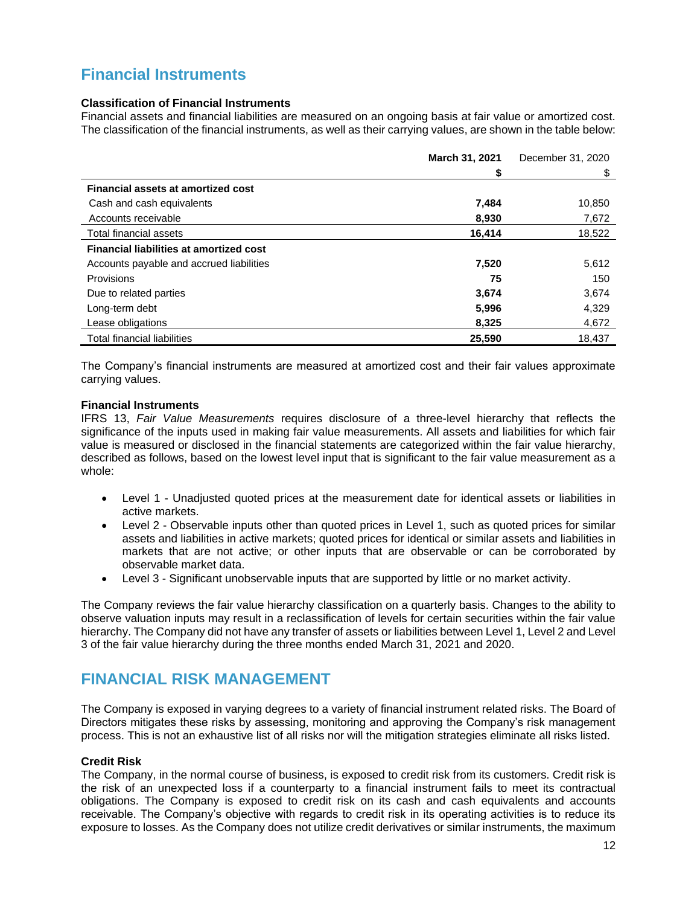# **Financial Instruments**

## **Classification of Financial Instruments**

Financial assets and financial liabilities are measured on an ongoing basis at fair value or amortized cost. The classification of the financial instruments, as well as their carrying values, are shown in the table below:

|                                                | March 31, 2021 | December 31, 2020 |
|------------------------------------------------|----------------|-------------------|
|                                                | \$             | \$                |
| Financial assets at amortized cost             |                |                   |
| Cash and cash equivalents                      | 7,484          | 10,850            |
| Accounts receivable                            | 8,930          | 7,672             |
| Total financial assets                         | 16,414         | 18,522            |
| <b>Financial liabilities at amortized cost</b> |                |                   |
| Accounts payable and accrued liabilities       | 7,520          | 5,612             |
| <b>Provisions</b>                              | 75             | 150               |
| Due to related parties                         | 3,674          | 3,674             |
| Long-term debt                                 | 5,996          | 4,329             |
| Lease obligations                              | 8,325          | 4,672             |
| <b>Total financial liabilities</b>             | 25,590         | 18,437            |

The Company's financial instruments are measured at amortized cost and their fair values approximate carrying values.

## **Financial Instruments**

IFRS 13, *Fair Value Measurements* requires disclosure of a three-level hierarchy that reflects the significance of the inputs used in making fair value measurements. All assets and liabilities for which fair value is measured or disclosed in the financial statements are categorized within the fair value hierarchy, described as follows, based on the lowest level input that is significant to the fair value measurement as a whole:

- Level 1 Unadjusted quoted prices at the measurement date for identical assets or liabilities in active markets.
- Level 2 Observable inputs other than quoted prices in Level 1, such as quoted prices for similar assets and liabilities in active markets; quoted prices for identical or similar assets and liabilities in markets that are not active; or other inputs that are observable or can be corroborated by observable market data.
- Level 3 Significant unobservable inputs that are supported by little or no market activity.

The Company reviews the fair value hierarchy classification on a quarterly basis. Changes to the ability to observe valuation inputs may result in a reclassification of levels for certain securities within the fair value hierarchy. The Company did not have any transfer of assets or liabilities between Level 1, Level 2 and Level 3 of the fair value hierarchy during the three months ended March 31, 2021 and 2020.

# **FINANCIAL RISK MANAGEMENT**

The Company is exposed in varying degrees to a variety of financial instrument related risks. The Board of Directors mitigates these risks by assessing, monitoring and approving the Company's risk management process. This is not an exhaustive list of all risks nor will the mitigation strategies eliminate all risks listed.

## **Credit Risk**

The Company, in the normal course of business, is exposed to credit risk from its customers. Credit risk is the risk of an unexpected loss if a counterparty to a financial instrument fails to meet its contractual obligations. The Company is exposed to credit risk on its cash and cash equivalents and accounts receivable. The Company's objective with regards to credit risk in its operating activities is to reduce its exposure to losses. As the Company does not utilize credit derivatives or similar instruments, the maximum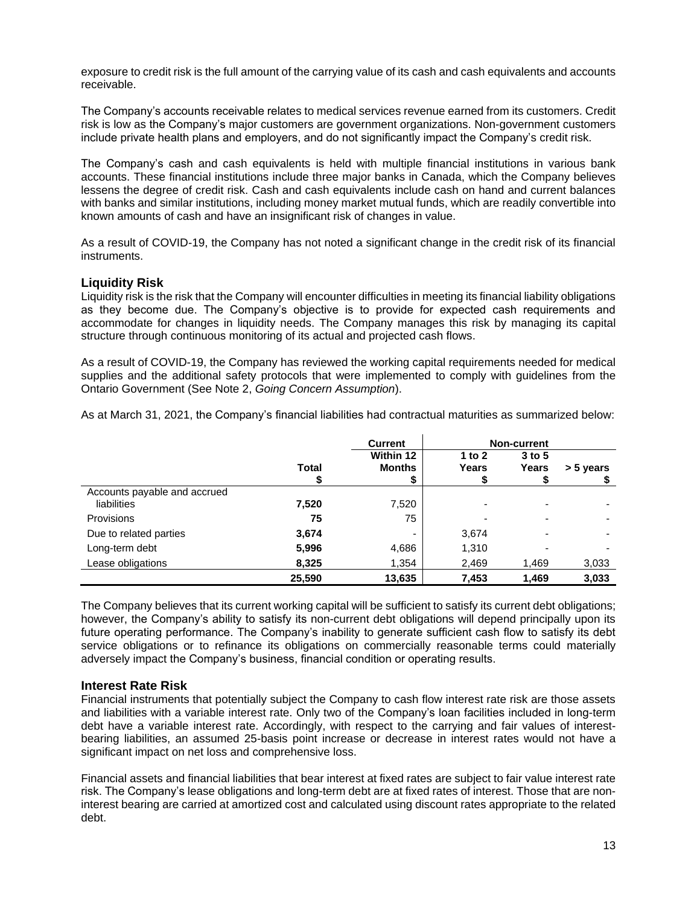exposure to credit risk is the full amount of the carrying value of its cash and cash equivalents and accounts receivable.

The Company's accounts receivable relates to medical services revenue earned from its customers. Credit risk is low as the Company's major customers are government organizations. Non-government customers include private health plans and employers, and do not significantly impact the Company's credit risk.

The Company's cash and cash equivalents is held with multiple financial institutions in various bank accounts. These financial institutions include three major banks in Canada, which the Company believes lessens the degree of credit risk. Cash and cash equivalents include cash on hand and current balances with banks and similar institutions, including money market mutual funds, which are readily convertible into known amounts of cash and have an insignificant risk of changes in value.

As a result of COVID-19, the Company has not noted a significant change in the credit risk of its financial instruments.

## **Liquidity Risk**

Liquidity risk is the risk that the Company will encounter difficulties in meeting its financial liability obligations as they become due. The Company's objective is to provide for expected cash requirements and accommodate for changes in liquidity needs. The Company manages this risk by managing its capital structure through continuous monitoring of its actual and projected cash flows.

As a result of COVID-19, the Company has reviewed the working capital requirements needed for medical supplies and the additional safety protocols that were implemented to comply with guidelines from the Ontario Government (See Note 2, *Going Concern Assumption*).

As at March 31, 2021, the Company's financial liabilities had contractual maturities as summarized below:

|                              |        | <b>Current</b>           |          | <b>Non-current</b> |           |
|------------------------------|--------|--------------------------|----------|--------------------|-----------|
|                              |        | Within 12                | 1 to $2$ | $3$ to $5$         |           |
|                              | Total  | <b>Months</b>            | Years    | Years              | > 5 years |
|                              |        | \$                       | ⊅        |                    |           |
| Accounts payable and accrued |        |                          |          |                    |           |
| liabilities                  | 7,520  | 7,520                    | ۰        |                    |           |
| <b>Provisions</b>            | 75     | 75                       |          |                    |           |
| Due to related parties       | 3,674  | $\overline{\phantom{0}}$ | 3,674    | -                  |           |
| Long-term debt               | 5,996  | 4,686                    | 1,310    |                    |           |
| Lease obligations            | 8,325  | 1,354                    | 2,469    | 1,469              | 3,033     |
|                              | 25.590 | 13,635                   | 7,453    | 1.469              | 3.033     |

The Company believes that its current working capital will be sufficient to satisfy its current debt obligations; however, the Company's ability to satisfy its non-current debt obligations will depend principally upon its future operating performance. The Company's inability to generate sufficient cash flow to satisfy its debt service obligations or to refinance its obligations on commercially reasonable terms could materially adversely impact the Company's business, financial condition or operating results.

## **Interest Rate Risk**

Financial instruments that potentially subject the Company to cash flow interest rate risk are those assets and liabilities with a variable interest rate. Only two of the Company's loan facilities included in long-term debt have a variable interest rate. Accordingly, with respect to the carrying and fair values of interestbearing liabilities, an assumed 25-basis point increase or decrease in interest rates would not have a significant impact on net loss and comprehensive loss.

Financial assets and financial liabilities that bear interest at fixed rates are subject to fair value interest rate risk. The Company's lease obligations and long-term debt are at fixed rates of interest. Those that are noninterest bearing are carried at amortized cost and calculated using discount rates appropriate to the related debt.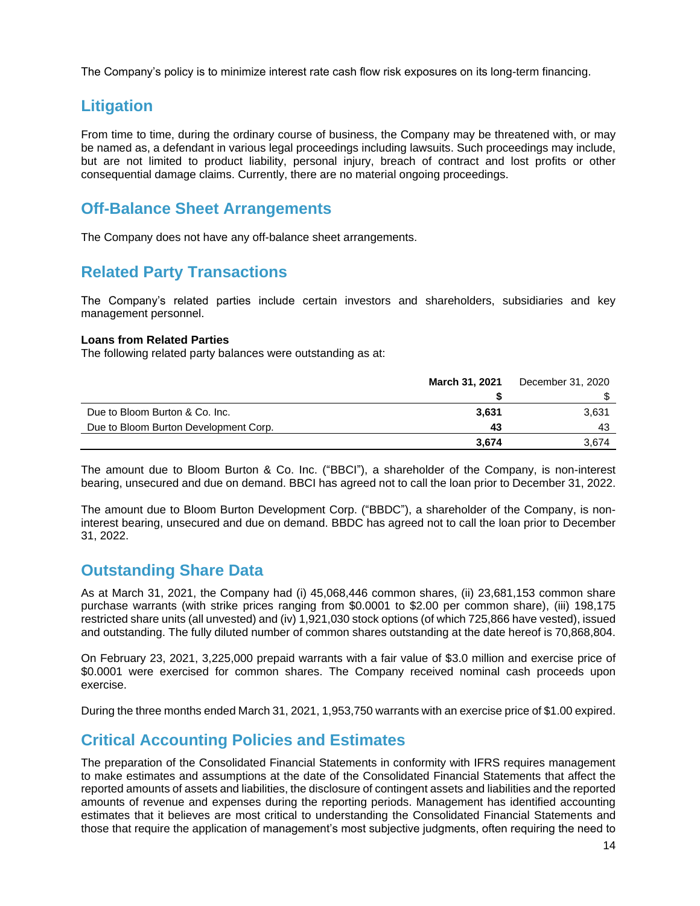The Company's policy is to minimize interest rate cash flow risk exposures on its long-term financing.

# **Litigation**

From time to time, during the ordinary course of business, the Company may be threatened with, or may be named as, a defendant in various legal proceedings including lawsuits. Such proceedings may include, but are not limited to product liability, personal injury, breach of contract and lost profits or other consequential damage claims. Currently, there are no material ongoing proceedings.

# **Off-Balance Sheet Arrangements**

The Company does not have any off-balance sheet arrangements.

# **Related Party Transactions**

The Company's related parties include certain investors and shareholders, subsidiaries and key management personnel.

## **Loans from Related Parties**

The following related party balances were outstanding as at:

|                                       | March 31, 2021 | December 31, 2020 |
|---------------------------------------|----------------|-------------------|
|                                       |                |                   |
| Due to Bloom Burton & Co. Inc.        | 3.631          | 3,631             |
| Due to Bloom Burton Development Corp. | 43             | 43                |
|                                       | 3.674          | 3.674             |

The amount due to Bloom Burton & Co. Inc. ("BBCI"), a shareholder of the Company, is non-interest bearing, unsecured and due on demand. BBCI has agreed not to call the loan prior to December 31, 2022.

The amount due to Bloom Burton Development Corp. ("BBDC"), a shareholder of the Company, is noninterest bearing, unsecured and due on demand. BBDC has agreed not to call the loan prior to December 31, 2022.

# **Outstanding Share Data**

As at March 31, 2021, the Company had (i) 45,068,446 common shares, (ii) 23,681,153 common share purchase warrants (with strike prices ranging from \$0.0001 to \$2.00 per common share), (iii) 198,175 restricted share units (all unvested) and (iv) 1,921,030 stock options (of which 725,866 have vested), issued and outstanding. The fully diluted number of common shares outstanding at the date hereof is 70,868,804.

On February 23, 2021, 3,225,000 prepaid warrants with a fair value of \$3.0 million and exercise price of \$0.0001 were exercised for common shares. The Company received nominal cash proceeds upon exercise.

During the three months ended March 31, 2021, 1,953,750 warrants with an exercise price of \$1.00 expired.

# **Critical Accounting Policies and Estimates**

The preparation of the Consolidated Financial Statements in conformity with IFRS requires management to make estimates and assumptions at the date of the Consolidated Financial Statements that affect the reported amounts of assets and liabilities, the disclosure of contingent assets and liabilities and the reported amounts of revenue and expenses during the reporting periods. Management has identified accounting estimates that it believes are most critical to understanding the Consolidated Financial Statements and those that require the application of management's most subjective judgments, often requiring the need to